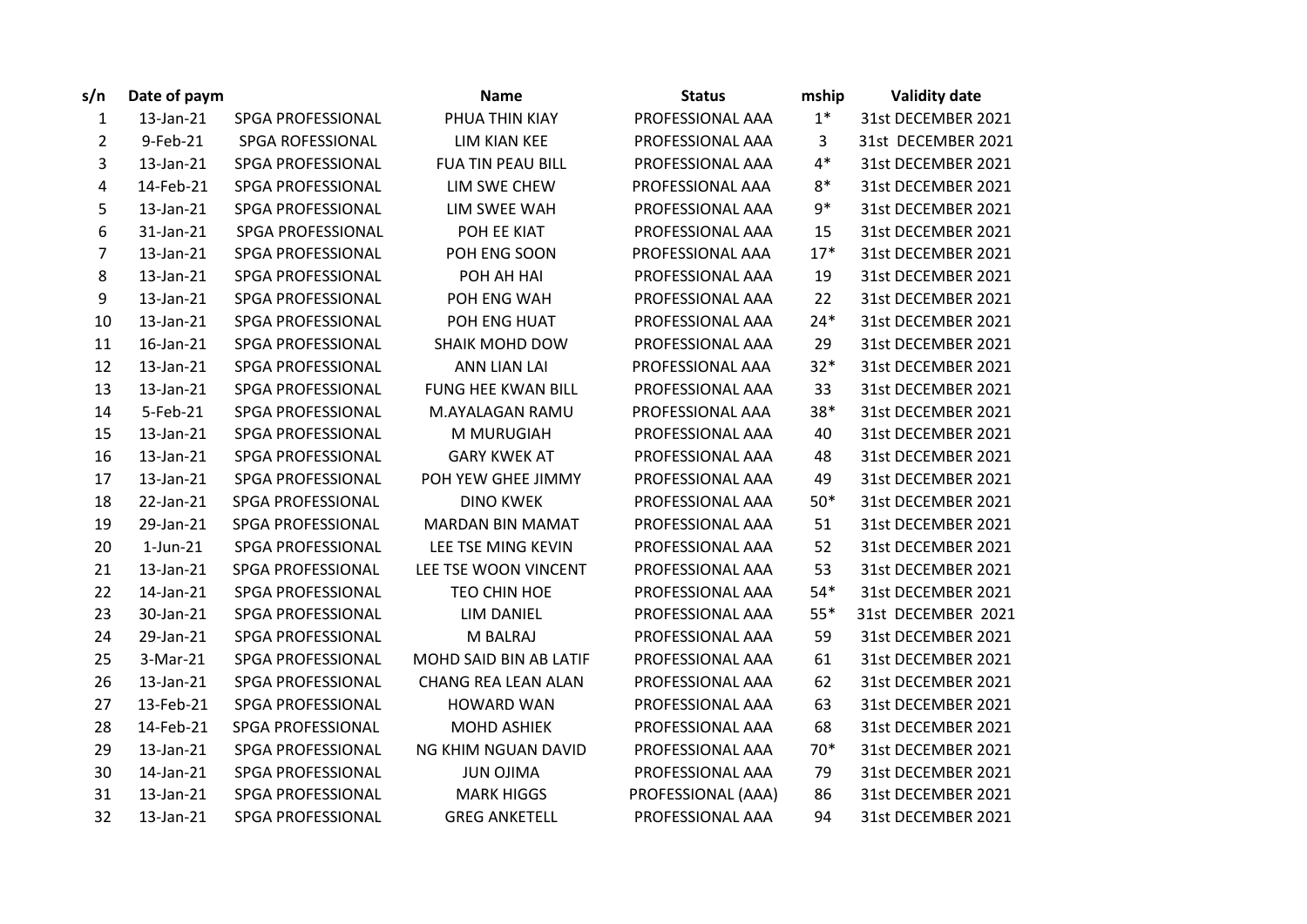| s/n            | Date of paym   |                          | <b>Name</b>               | <b>Status</b>      | mship | <b>Validity date</b> |
|----------------|----------------|--------------------------|---------------------------|--------------------|-------|----------------------|
| 1              | 13-Jan-21      | SPGA PROFESSIONAL        | PHUA THIN KIAY            | PROFESSIONAL AAA   | $1*$  | 31st DECEMBER 2021   |
| $\overline{2}$ | 9-Feb-21       | SPGA ROFESSIONAL         | LIM KIAN KEE              | PROFESSIONAL AAA   | 3     | 31st DECEMBER 2021   |
| 3              | 13-Jan-21      | SPGA PROFESSIONAL        | FUA TIN PEAU BILL         | PROFESSIONAL AAA   | $4*$  | 31st DECEMBER 2021   |
| 4              | 14-Feb-21      | SPGA PROFESSIONAL        | LIM SWE CHEW              | PROFESSIONAL AAA   | $8*$  | 31st DECEMBER 2021   |
| 5              | 13-Jan-21      | SPGA PROFESSIONAL        | LIM SWEE WAH              | PROFESSIONAL AAA   | $9*$  | 31st DECEMBER 2021   |
| 6              | 31-Jan-21      | SPGA PROFESSIONAL        | POH EE KIAT               | PROFESSIONAL AAA   | 15    | 31st DECEMBER 2021   |
| 7              | 13-Jan-21      | SPGA PROFESSIONAL        | POH ENG SOON              | PROFESSIONAL AAA   | $17*$ | 31st DECEMBER 2021   |
| 8              | 13-Jan-21      | <b>SPGA PROFESSIONAL</b> | POH AH HAI                | PROFESSIONAL AAA   | 19    | 31st DECEMBER 2021   |
| 9              | 13-Jan-21      | <b>SPGA PROFESSIONAL</b> | POH ENG WAH               | PROFESSIONAL AAA   | 22    | 31st DECEMBER 2021   |
| 10             | 13-Jan-21      | SPGA PROFESSIONAL        | POH ENG HUAT              | PROFESSIONAL AAA   | $24*$ | 31st DECEMBER 2021   |
| 11             | 16-Jan-21      | SPGA PROFESSIONAL        | <b>SHAIK MOHD DOW</b>     | PROFESSIONAL AAA   | 29    | 31st DECEMBER 2021   |
| 12             | 13-Jan-21      | SPGA PROFESSIONAL        | <b>ANN LIAN LAI</b>       | PROFESSIONAL AAA   | $32*$ | 31st DECEMBER 2021   |
| 13             | 13-Jan-21      | SPGA PROFESSIONAL        | <b>FUNG HEE KWAN BILL</b> | PROFESSIONAL AAA   | 33    | 31st DECEMBER 2021   |
| 14             | 5-Feb-21       | SPGA PROFESSIONAL        | M.AYALAGAN RAMU           | PROFESSIONAL AAA   | 38*   | 31st DECEMBER 2021   |
| 15             | 13-Jan-21      | <b>SPGA PROFESSIONAL</b> | M MURUGIAH                | PROFESSIONAL AAA   | 40    | 31st DECEMBER 2021   |
| 16             | 13-Jan-21      | <b>SPGA PROFESSIONAL</b> | <b>GARY KWEK AT</b>       | PROFESSIONAL AAA   | 48    | 31st DECEMBER 2021   |
| 17             | 13-Jan-21      | SPGA PROFESSIONAL        | POH YEW GHEE JIMMY        | PROFESSIONAL AAA   | 49    | 31st DECEMBER 2021   |
| 18             | 22-Jan-21      | SPGA PROFESSIONAL        | <b>DINO KWEK</b>          | PROFESSIONAL AAA   | $50*$ | 31st DECEMBER 2021   |
| 19             | 29-Jan-21      | SPGA PROFESSIONAL        | <b>MARDAN BIN MAMAT</b>   | PROFESSIONAL AAA   | 51    | 31st DECEMBER 2021   |
| 20             | $1$ -Jun- $21$ | SPGA PROFESSIONAL        | LEE TSE MING KEVIN        | PROFESSIONAL AAA   | 52    | 31st DECEMBER 2021   |
| 21             | 13-Jan-21      | SPGA PROFESSIONAL        | LEE TSE WOON VINCENT      | PROFESSIONAL AAA   | 53    | 31st DECEMBER 2021   |
| 22             | 14-Jan-21      | SPGA PROFESSIONAL        | TEO CHIN HOE              | PROFESSIONAL AAA   | $54*$ | 31st DECEMBER 2021   |
| 23             | 30-Jan-21      | <b>SPGA PROFESSIONAL</b> | <b>LIM DANIEL</b>         | PROFESSIONAL AAA   | $55*$ | 31st DECEMBER 2021   |
| 24             | 29-Jan-21      | <b>SPGA PROFESSIONAL</b> | M BALRAJ                  | PROFESSIONAL AAA   | 59    | 31st DECEMBER 2021   |
| 25             | 3-Mar-21       | SPGA PROFESSIONAL        | MOHD SAID BIN AB LATIF    | PROFESSIONAL AAA   | 61    | 31st DECEMBER 2021   |
| 26             | 13-Jan-21      | SPGA PROFESSIONAL        | CHANG REA LEAN ALAN       | PROFESSIONAL AAA   | 62    | 31st DECEMBER 2021   |
| 27             | 13-Feb-21      | SPGA PROFESSIONAL        | <b>HOWARD WAN</b>         | PROFESSIONAL AAA   | 63    | 31st DECEMBER 2021   |
| 28             | 14-Feb-21      | SPGA PROFESSIONAL        | MOHD ASHIEK               | PROFESSIONAL AAA   | 68    | 31st DECEMBER 2021   |
| 29             | 13-Jan-21      | SPGA PROFESSIONAL        | NG KHIM NGUAN DAVID       | PROFESSIONAL AAA   | $70*$ | 31st DECEMBER 2021   |
| 30             | 14-Jan-21      | SPGA PROFESSIONAL        | <b>JUN OJIMA</b>          | PROFESSIONAL AAA   | 79    | 31st DECEMBER 2021   |
| 31             | 13-Jan-21      | SPGA PROFESSIONAL        | <b>MARK HIGGS</b>         | PROFESSIONAL (AAA) | 86    | 31st DECEMBER 2021   |
| 32             | 13-Jan-21      | SPGA PROFESSIONAL        | <b>GREG ANKETELL</b>      | PROFESSIONAL AAA   | 94    | 31st DECEMBER 2021   |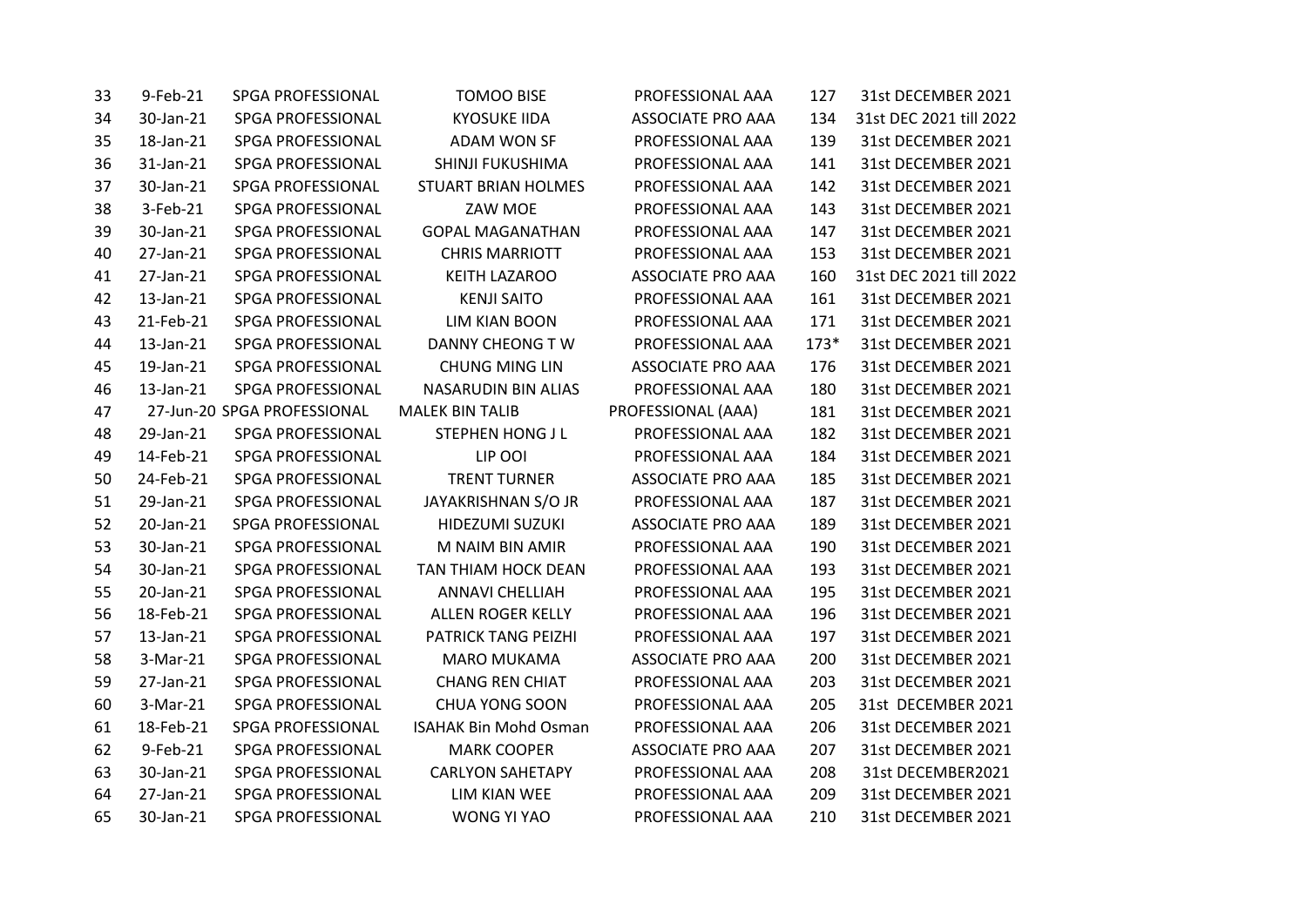| 33 | 9-Feb-21  | SPGA PROFESSIONAL           | <b>TOMOO BISE</b>            | PROFESSIONAL AAA         | 127  | 31st DECEMBER 2021      |
|----|-----------|-----------------------------|------------------------------|--------------------------|------|-------------------------|
| 34 | 30-Jan-21 | SPGA PROFESSIONAL           | <b>KYOSUKE IIDA</b>          | <b>ASSOCIATE PRO AAA</b> | 134  | 31st DEC 2021 till 2022 |
| 35 | 18-Jan-21 | SPGA PROFESSIONAL           | ADAM WON SF                  | PROFESSIONAL AAA         | 139  | 31st DECEMBER 2021      |
| 36 | 31-Jan-21 | SPGA PROFESSIONAL           | SHINJI FUKUSHIMA             | PROFESSIONAL AAA         | 141  | 31st DECEMBER 2021      |
| 37 | 30-Jan-21 | SPGA PROFESSIONAL           | STUART BRIAN HOLMES          | PROFESSIONAL AAA         | 142  | 31st DECEMBER 2021      |
| 38 | 3-Feb-21  | SPGA PROFESSIONAL           | ZAW MOE                      | PROFESSIONAL AAA         | 143  | 31st DECEMBER 2021      |
| 39 | 30-Jan-21 | SPGA PROFESSIONAL           | <b>GOPAL MAGANATHAN</b>      | PROFESSIONAL AAA         | 147  | 31st DECEMBER 2021      |
| 40 | 27-Jan-21 | SPGA PROFESSIONAL           | <b>CHRIS MARRIOTT</b>        | PROFESSIONAL AAA         | 153  | 31st DECEMBER 2021      |
| 41 | 27-Jan-21 | SPGA PROFESSIONAL           | <b>KEITH LAZAROO</b>         | <b>ASSOCIATE PRO AAA</b> | 160  | 31st DEC 2021 till 2022 |
| 42 | 13-Jan-21 | SPGA PROFESSIONAL           | <b>KENJI SAITO</b>           | PROFESSIONAL AAA         | 161  | 31st DECEMBER 2021      |
| 43 | 21-Feb-21 | SPGA PROFESSIONAL           | <b>LIM KIAN BOON</b>         | PROFESSIONAL AAA         | 171  | 31st DECEMBER 2021      |
| 44 | 13-Jan-21 | SPGA PROFESSIONAL           | DANNY CHEONG TW              | PROFESSIONAL AAA         | 173* | 31st DECEMBER 2021      |
| 45 | 19-Jan-21 | SPGA PROFESSIONAL           | <b>CHUNG MING LIN</b>        | <b>ASSOCIATE PRO AAA</b> | 176  | 31st DECEMBER 2021      |
| 46 | 13-Jan-21 | SPGA PROFESSIONAL           | NASARUDIN BIN ALIAS          | PROFESSIONAL AAA         | 180  | 31st DECEMBER 2021      |
| 47 |           | 27-Jun-20 SPGA PROFESSIONAL | <b>MALEK BIN TALIB</b>       | PROFESSIONAL (AAA)       | 181  | 31st DECEMBER 2021      |
| 48 | 29-Jan-21 | SPGA PROFESSIONAL           | <b>STEPHEN HONG J L</b>      | PROFESSIONAL AAA         | 182  | 31st DECEMBER 2021      |
| 49 | 14-Feb-21 | SPGA PROFESSIONAL           | LIP OOI                      | PROFESSIONAL AAA         | 184  | 31st DECEMBER 2021      |
| 50 | 24-Feb-21 | SPGA PROFESSIONAL           | <b>TRENT TURNER</b>          | <b>ASSOCIATE PRO AAA</b> | 185  | 31st DECEMBER 2021      |
| 51 | 29-Jan-21 | SPGA PROFESSIONAL           | JAYAKRISHNAN S/O JR          | PROFESSIONAL AAA         | 187  | 31st DECEMBER 2021      |
| 52 | 20-Jan-21 | SPGA PROFESSIONAL           | HIDEZUMI SUZUKI              | <b>ASSOCIATE PRO AAA</b> | 189  | 31st DECEMBER 2021      |
| 53 | 30-Jan-21 | SPGA PROFESSIONAL           | M NAIM BIN AMIR              | PROFESSIONAL AAA         | 190  | 31st DECEMBER 2021      |
| 54 | 30-Jan-21 | SPGA PROFESSIONAL           | <b>TAN THIAM HOCK DEAN</b>   | PROFESSIONAL AAA         | 193  | 31st DECEMBER 2021      |
| 55 | 20-Jan-21 | SPGA PROFESSIONAL           | <b>ANNAVI CHELLIAH</b>       | PROFESSIONAL AAA         | 195  | 31st DECEMBER 2021      |
| 56 | 18-Feb-21 | SPGA PROFESSIONAL           | ALLEN ROGER KELLY            | PROFESSIONAL AAA         | 196  | 31st DECEMBER 2021      |
| 57 | 13-Jan-21 | SPGA PROFESSIONAL           | PATRICK TANG PEIZHI          | PROFESSIONAL AAA         | 197  | 31st DECEMBER 2021      |
| 58 | 3-Mar-21  | SPGA PROFESSIONAL           | <b>MARO MUKAMA</b>           | <b>ASSOCIATE PRO AAA</b> | 200  | 31st DECEMBER 2021      |
| 59 | 27-Jan-21 | SPGA PROFESSIONAL           | <b>CHANG REN CHIAT</b>       | PROFESSIONAL AAA         | 203  | 31st DECEMBER 2021      |
| 60 | 3-Mar-21  | SPGA PROFESSIONAL           | <b>CHUA YONG SOON</b>        | PROFESSIONAL AAA         | 205  | 31st DECEMBER 2021      |
| 61 | 18-Feb-21 | SPGA PROFESSIONAL           | <b>ISAHAK Bin Mohd Osman</b> | PROFESSIONAL AAA         | 206  | 31st DECEMBER 2021      |
| 62 | 9-Feb-21  | SPGA PROFESSIONAL           | <b>MARK COOPER</b>           | <b>ASSOCIATE PRO AAA</b> | 207  | 31st DECEMBER 2021      |
| 63 | 30-Jan-21 | SPGA PROFESSIONAL           | <b>CARLYON SAHETAPY</b>      | PROFESSIONAL AAA         | 208  | 31st DECEMBER2021       |
| 64 | 27-Jan-21 | SPGA PROFESSIONAL           | LIM KIAN WEE                 | PROFESSIONAL AAA         | 209  | 31st DECEMBER 2021      |
| 65 | 30-Jan-21 | <b>SPGA PROFESSIONAL</b>    | WONG YI YAO                  | PROFESSIONAL AAA         | 210  | 31st DECEMBER 2021      |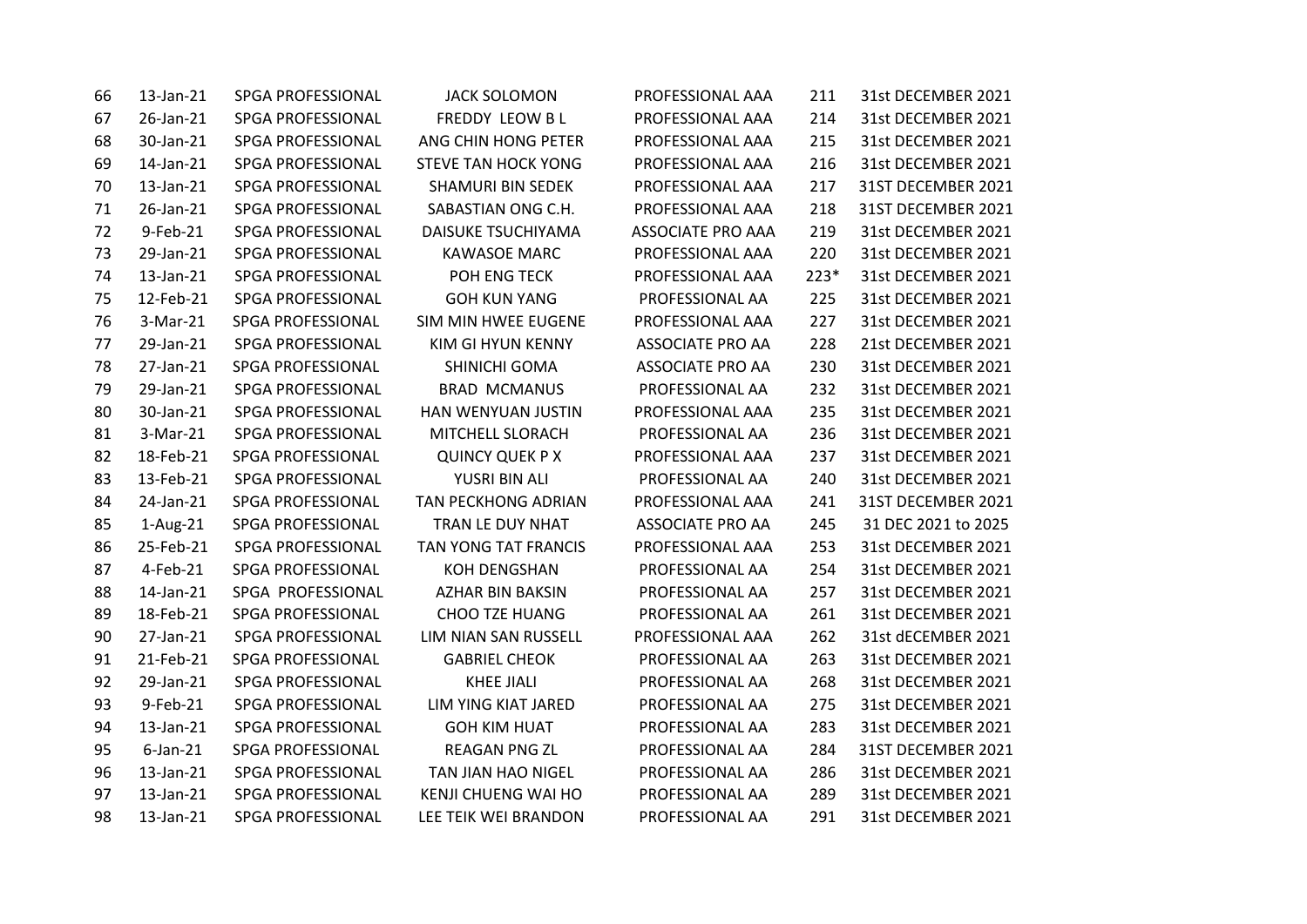| 66 | 13-Jan-21      | SPGA PROFESSIONAL        | <b>JACK SOLOMON</b>        | PROFESSIONAL AAA  | 211    | 31st DECEMBER 2021  |
|----|----------------|--------------------------|----------------------------|-------------------|--------|---------------------|
| 67 | 26-Jan-21      | SPGA PROFESSIONAL        | FREDDY LEOW B L            | PROFESSIONAL AAA  | 214    | 31st DECEMBER 2021  |
| 68 | 30-Jan-21      | SPGA PROFESSIONAL        | ANG CHIN HONG PETER        | PROFESSIONAL AAA  | 215    | 31st DECEMBER 2021  |
| 69 | 14-Jan-21      | SPGA PROFESSIONAL        | <b>STEVE TAN HOCK YONG</b> | PROFESSIONAL AAA  | 216    | 31st DECEMBER 2021  |
| 70 | 13-Jan-21      | SPGA PROFESSIONAL        | <b>SHAMURI BIN SEDEK</b>   | PROFESSIONAL AAA  | 217    | 31ST DECEMBER 2021  |
| 71 | 26-Jan-21      | SPGA PROFESSIONAL        | SABASTIAN ONG C.H.         | PROFESSIONAL AAA  | 218    | 31ST DECEMBER 2021  |
| 72 | 9-Feb-21       | SPGA PROFESSIONAL        | DAISUKE TSUCHIYAMA         | ASSOCIATE PRO AAA | 219    | 31st DECEMBER 2021  |
| 73 | 29-Jan-21      | SPGA PROFESSIONAL        | <b>KAWASOE MARC</b>        | PROFESSIONAL AAA  | 220    | 31st DECEMBER 2021  |
| 74 | 13-Jan-21      | SPGA PROFESSIONAL        | POH ENG TECK               | PROFESSIONAL AAA  | $223*$ | 31st DECEMBER 2021  |
| 75 | 12-Feb-21      | SPGA PROFESSIONAL        | <b>GOH KUN YANG</b>        | PROFESSIONAL AA   | 225    | 31st DECEMBER 2021  |
| 76 | 3-Mar-21       | SPGA PROFESSIONAL        | SIM MIN HWEE EUGENE        | PROFESSIONAL AAA  | 227    | 31st DECEMBER 2021  |
| 77 | 29-Jan-21      | SPGA PROFESSIONAL        | KIM GI HYUN KENNY          | ASSOCIATE PRO AA  | 228    | 21st DECEMBER 2021  |
| 78 | 27-Jan-21      | SPGA PROFESSIONAL        | SHINICHI GOMA              | ASSOCIATE PRO AA  | 230    | 31st DECEMBER 2021  |
| 79 | 29-Jan-21      | SPGA PROFESSIONAL        | <b>BRAD MCMANUS</b>        | PROFESSIONAL AA   | 232    | 31st DECEMBER 2021  |
| 80 | 30-Jan-21      | SPGA PROFESSIONAL        | HAN WENYUAN JUSTIN         | PROFESSIONAL AAA  | 235    | 31st DECEMBER 2021  |
| 81 | 3-Mar-21       | SPGA PROFESSIONAL        | MITCHELL SLORACH           | PROFESSIONAL AA   | 236    | 31st DECEMBER 2021  |
| 82 | 18-Feb-21      | SPGA PROFESSIONAL        | <b>QUINCY QUEK P X</b>     | PROFESSIONAL AAA  | 237    | 31st DECEMBER 2021  |
| 83 | 13-Feb-21      | SPGA PROFESSIONAL        | YUSRI BIN ALI              | PROFESSIONAL AA   | 240    | 31st DECEMBER 2021  |
| 84 | 24-Jan-21      | SPGA PROFESSIONAL        | TAN PECKHONG ADRIAN        | PROFESSIONAL AAA  | 241    | 31ST DECEMBER 2021  |
| 85 | $1-Aug-21$     | SPGA PROFESSIONAL        | TRAN LE DUY NHAT           | ASSOCIATE PRO AA  | 245    | 31 DEC 2021 to 2025 |
| 86 | 25-Feb-21      | SPGA PROFESSIONAL        | TAN YONG TAT FRANCIS       | PROFESSIONAL AAA  | 253    | 31st DECEMBER 2021  |
| 87 | 4-Feb-21       | SPGA PROFESSIONAL        | <b>KOH DENGSHAN</b>        | PROFESSIONAL AA   | 254    | 31st DECEMBER 2021  |
| 88 | 14-Jan-21      | SPGA PROFESSIONAL        | <b>AZHAR BIN BAKSIN</b>    | PROFESSIONAL AA   | 257    | 31st DECEMBER 2021  |
| 89 | 18-Feb-21      | SPGA PROFESSIONAL        | <b>CHOO TZE HUANG</b>      | PROFESSIONAL AA   | 261    | 31st DECEMBER 2021  |
| 90 | 27-Jan-21      | SPGA PROFESSIONAL        | LIM NIAN SAN RUSSELL       | PROFESSIONAL AAA  | 262    | 31st dECEMBER 2021  |
| 91 | 21-Feb-21      | SPGA PROFESSIONAL        | <b>GABRIEL CHEOK</b>       | PROFESSIONAL AA   | 263    | 31st DECEMBER 2021  |
| 92 | 29-Jan-21      | SPGA PROFESSIONAL        | <b>KHEE JIALI</b>          | PROFESSIONAL AA   | 268    | 31st DECEMBER 2021  |
| 93 | 9-Feb-21       | SPGA PROFESSIONAL        | LIM YING KIAT JARED        | PROFESSIONAL AA   | 275    | 31st DECEMBER 2021  |
| 94 | 13-Jan-21      | SPGA PROFESSIONAL        | <b>GOH KIM HUAT</b>        | PROFESSIONAL AA   | 283    | 31st DECEMBER 2021  |
| 95 | $6$ -Jan- $21$ | SPGA PROFESSIONAL        | <b>REAGAN PNG ZL</b>       | PROFESSIONAL AA   | 284    | 31ST DECEMBER 2021  |
| 96 | 13-Jan-21      | SPGA PROFESSIONAL        | TAN JIAN HAO NIGEL         | PROFESSIONAL AA   | 286    | 31st DECEMBER 2021  |
| 97 | 13-Jan-21      | SPGA PROFESSIONAL        | KENJI CHUENG WAI HO        | PROFESSIONAL AA   | 289    | 31st DECEMBER 2021  |
| 98 | 13-Jan-21      | <b>SPGA PROFESSIONAL</b> | LEE TEIK WEI BRANDON       | PROFESSIONAL AA   | 291    | 31st DECEMBER 2021  |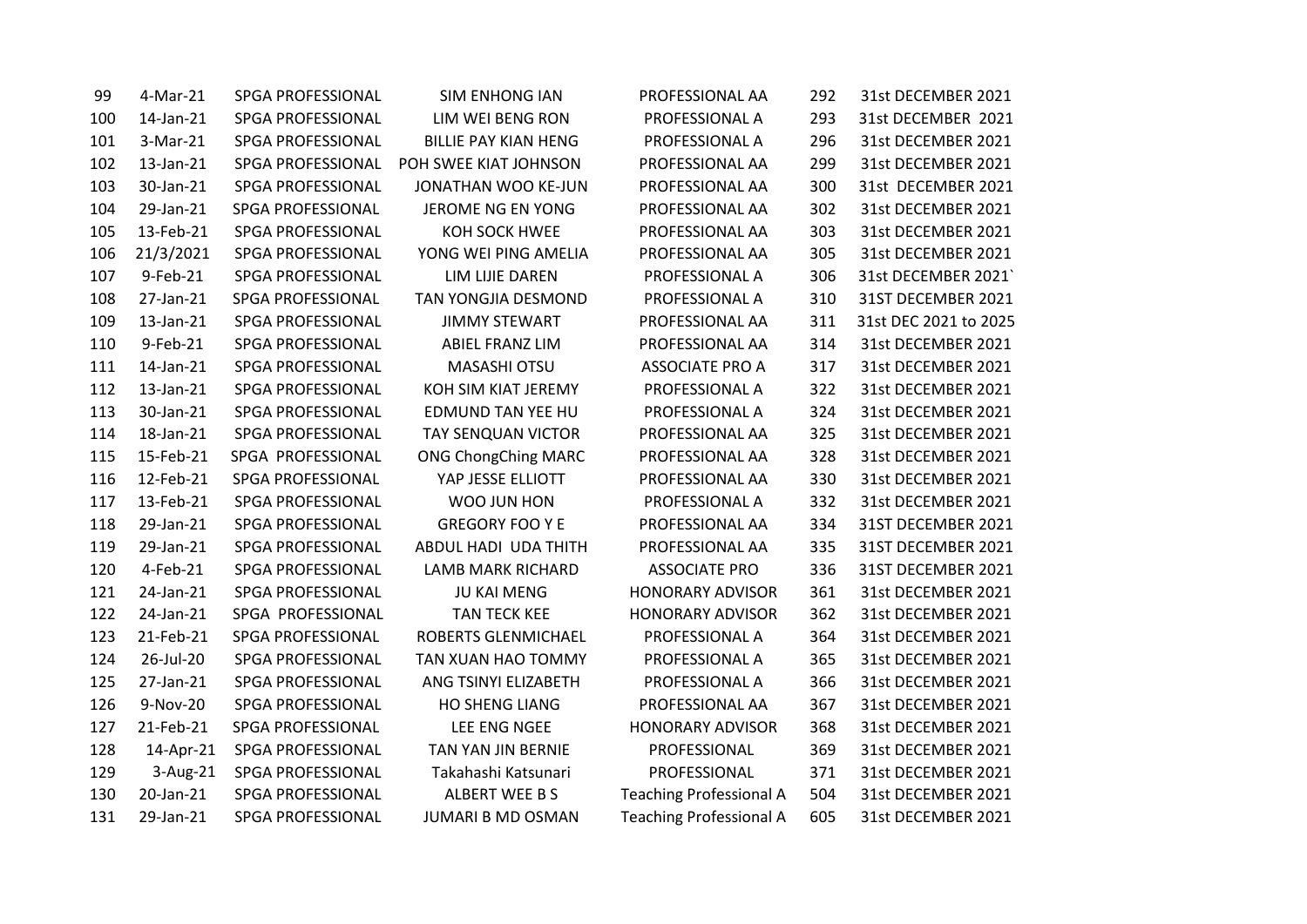| 99  | 4-Mar-21  | SPGA PROFESSIONAL | <b>SIM ENHONG IAN</b>       | PROFESSIONAL AA                | 292 | 31st DECEMBER 2021    |
|-----|-----------|-------------------|-----------------------------|--------------------------------|-----|-----------------------|
| 100 | 14-Jan-21 | SPGA PROFESSIONAL | LIM WEI BENG RON            | PROFESSIONAL A                 | 293 | 31st DECEMBER 2021    |
| 101 | 3-Mar-21  | SPGA PROFESSIONAL | <b>BILLIE PAY KIAN HENG</b> | PROFESSIONAL A                 | 296 | 31st DECEMBER 2021    |
| 102 | 13-Jan-21 | SPGA PROFESSIONAL | POH SWEE KIAT JOHNSON       | PROFESSIONAL AA                | 299 | 31st DECEMBER 2021    |
| 103 | 30-Jan-21 | SPGA PROFESSIONAL | JONATHAN WOO KE-JUN         | PROFESSIONAL AA                | 300 | 31st DECEMBER 2021    |
| 104 | 29-Jan-21 | SPGA PROFESSIONAL | JEROME NG EN YONG           | PROFESSIONAL AA                | 302 | 31st DECEMBER 2021    |
| 105 | 13-Feb-21 | SPGA PROFESSIONAL | KOH SOCK HWEE               | PROFESSIONAL AA                | 303 | 31st DECEMBER 2021    |
| 106 | 21/3/2021 | SPGA PROFESSIONAL | YONG WEI PING AMELIA        | PROFESSIONAL AA                | 305 | 31st DECEMBER 2021    |
| 107 | 9-Feb-21  | SPGA PROFESSIONAL | LIM LIJIE DAREN             | PROFESSIONAL A                 | 306 | 31st DECEMBER 2021    |
| 108 | 27-Jan-21 | SPGA PROFESSIONAL | TAN YONGJIA DESMOND         | PROFESSIONAL A                 | 310 | 31ST DECEMBER 2021    |
| 109 | 13-Jan-21 | SPGA PROFESSIONAL | <b>JIMMY STEWART</b>        | PROFESSIONAL AA                | 311 | 31st DEC 2021 to 2025 |
| 110 | 9-Feb-21  | SPGA PROFESSIONAL | ABIEL FRANZ LIM             | PROFESSIONAL AA                | 314 | 31st DECEMBER 2021    |
| 111 | 14-Jan-21 | SPGA PROFESSIONAL | MASASHI OTSU                | <b>ASSOCIATE PRO A</b>         | 317 | 31st DECEMBER 2021    |
| 112 | 13-Jan-21 | SPGA PROFESSIONAL | KOH SIM KIAT JEREMY         | PROFESSIONAL A                 | 322 | 31st DECEMBER 2021    |
| 113 | 30-Jan-21 | SPGA PROFESSIONAL | EDMUND TAN YEE HU           | PROFESSIONAL A                 | 324 | 31st DECEMBER 2021    |
| 114 | 18-Jan-21 | SPGA PROFESSIONAL | TAY SENQUAN VICTOR          | PROFESSIONAL AA                | 325 | 31st DECEMBER 2021    |
| 115 | 15-Feb-21 | SPGA PROFESSIONAL | <b>ONG ChongChing MARC</b>  | PROFESSIONAL AA                | 328 | 31st DECEMBER 2021    |
| 116 | 12-Feb-21 | SPGA PROFESSIONAL | YAP JESSE ELLIOTT           | PROFESSIONAL AA                | 330 | 31st DECEMBER 2021    |
| 117 | 13-Feb-21 | SPGA PROFESSIONAL | WOO JUN HON                 | PROFESSIONAL A                 | 332 | 31st DECEMBER 2021    |
| 118 | 29-Jan-21 | SPGA PROFESSIONAL | <b>GREGORY FOO Y E</b>      | PROFESSIONAL AA                | 334 | 31ST DECEMBER 2021    |
| 119 | 29-Jan-21 | SPGA PROFESSIONAL | ABDUL HADI UDA THITH        | PROFESSIONAL AA                | 335 | 31ST DECEMBER 2021    |
| 120 | 4-Feb-21  | SPGA PROFESSIONAL | <b>LAMB MARK RICHARD</b>    | <b>ASSOCIATE PRO</b>           | 336 | 31ST DECEMBER 2021    |
| 121 | 24-Jan-21 | SPGA PROFESSIONAL | <b>JU KAI MENG</b>          | <b>HONORARY ADVISOR</b>        | 361 | 31st DECEMBER 2021    |
| 122 | 24-Jan-21 | SPGA PROFESSIONAL | <b>TAN TECK KEE</b>         | <b>HONORARY ADVISOR</b>        | 362 | 31st DECEMBER 2021    |
| 123 | 21-Feb-21 | SPGA PROFESSIONAL | ROBERTS GLENMICHAEL         | PROFESSIONAL A                 | 364 | 31st DECEMBER 2021    |
| 124 | 26-Jul-20 | SPGA PROFESSIONAL | TAN XUAN HAO TOMMY          | PROFESSIONAL A                 | 365 | 31st DECEMBER 2021    |
| 125 | 27-Jan-21 | SPGA PROFESSIONAL | ANG TSINYI ELIZABETH        | PROFESSIONAL A                 | 366 | 31st DECEMBER 2021    |
| 126 | 9-Nov-20  | SPGA PROFESSIONAL | <b>HO SHENG LIANG</b>       | PROFESSIONAL AA                | 367 | 31st DECEMBER 2021    |
| 127 | 21-Feb-21 | SPGA PROFESSIONAL | LEE ENG NGEE                | <b>HONORARY ADVISOR</b>        | 368 | 31st DECEMBER 2021    |
| 128 | 14-Apr-21 | SPGA PROFESSIONAL | TAN YAN JIN BERNIE          | PROFESSIONAL                   | 369 | 31st DECEMBER 2021    |
| 129 | 3-Aug-21  | SPGA PROFESSIONAL | Takahashi Katsunari         | PROFESSIONAL                   | 371 | 31st DECEMBER 2021    |
| 130 | 20-Jan-21 | SPGA PROFESSIONAL | <b>ALBERT WEE BS</b>        | <b>Teaching Professional A</b> | 504 | 31st DECEMBER 2021    |
| 131 | 29-Jan-21 | SPGA PROFESSIONAL | <b>JUMARI B MD OSMAN</b>    | <b>Teaching Professional A</b> | 605 | 31st DECEMBER 2021    |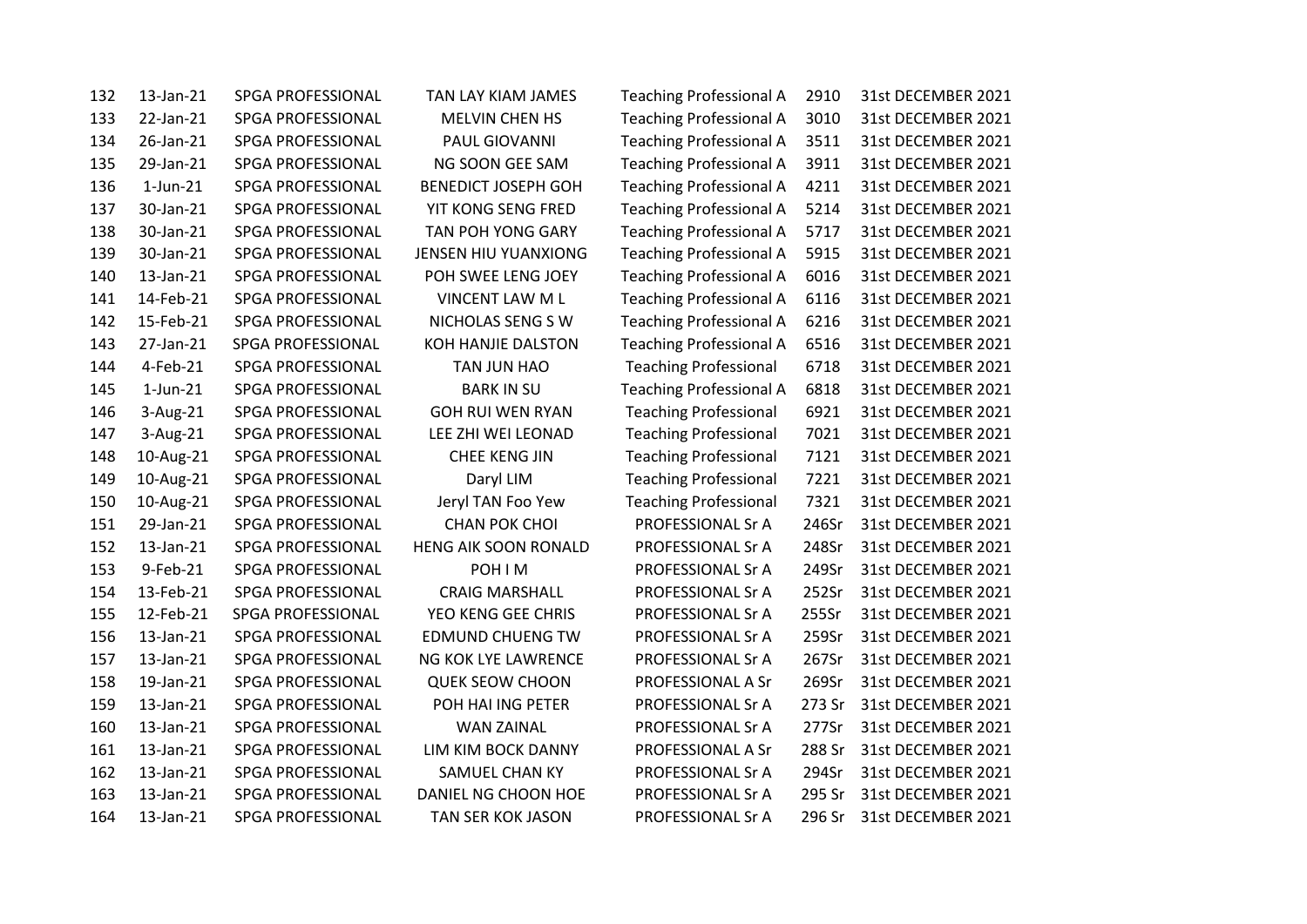| 132 | 13-Jan-21      | <b>SPGA PROFESSIONAL</b> | TAN LAY KIAM JAMES          | <b>Teaching Professional A</b> | 2910   | 31st DECEMBER 2021 |
|-----|----------------|--------------------------|-----------------------------|--------------------------------|--------|--------------------|
| 133 | 22-Jan-21      | SPGA PROFESSIONAL        | MELVIN CHEN HS              | <b>Teaching Professional A</b> | 3010   | 31st DECEMBER 2021 |
| 134 | 26-Jan-21      | SPGA PROFESSIONAL        | PAUL GIOVANNI               | <b>Teaching Professional A</b> | 3511   | 31st DECEMBER 2021 |
| 135 | 29-Jan-21      | SPGA PROFESSIONAL        | NG SOON GEE SAM             | <b>Teaching Professional A</b> | 3911   | 31st DECEMBER 2021 |
| 136 | $1$ -Jun- $21$ | SPGA PROFESSIONAL        | <b>BENEDICT JOSEPH GOH</b>  | <b>Teaching Professional A</b> | 4211   | 31st DECEMBER 2021 |
| 137 | 30-Jan-21      | SPGA PROFESSIONAL        | YIT KONG SENG FRED          | <b>Teaching Professional A</b> | 5214   | 31st DECEMBER 2021 |
| 138 | 30-Jan-21      | SPGA PROFESSIONAL        | <b>TAN POH YONG GARY</b>    | <b>Teaching Professional A</b> | 5717   | 31st DECEMBER 2021 |
| 139 | 30-Jan-21      | SPGA PROFESSIONAL        | JENSEN HIU YUANXIONG        | <b>Teaching Professional A</b> | 5915   | 31st DECEMBER 2021 |
| 140 | 13-Jan-21      | SPGA PROFESSIONAL        | POH SWEE LENG JOEY          | <b>Teaching Professional A</b> | 6016   | 31st DECEMBER 2021 |
| 141 | 14-Feb-21      | SPGA PROFESSIONAL        | VINCENT LAW M L             | <b>Teaching Professional A</b> | 6116   | 31st DECEMBER 2021 |
| 142 | 15-Feb-21      | SPGA PROFESSIONAL        | NICHOLAS SENG SW            | <b>Teaching Professional A</b> | 6216   | 31st DECEMBER 2021 |
| 143 | 27-Jan-21      | SPGA PROFESSIONAL        | KOH HANJIE DALSTON          | <b>Teaching Professional A</b> | 6516   | 31st DECEMBER 2021 |
| 144 | 4-Feb-21       | SPGA PROFESSIONAL        | TAN JUN HAO                 | <b>Teaching Professional</b>   | 6718   | 31st DECEMBER 2021 |
| 145 | $1$ -Jun- $21$ | SPGA PROFESSIONAL        | <b>BARK IN SU</b>           | <b>Teaching Professional A</b> | 6818   | 31st DECEMBER 2021 |
| 146 | 3-Aug-21       | SPGA PROFESSIONAL        | <b>GOH RUI WEN RYAN</b>     | <b>Teaching Professional</b>   | 6921   | 31st DECEMBER 2021 |
| 147 | 3-Aug-21       | <b>SPGA PROFESSIONAL</b> | LEE ZHI WEI LEONAD          | <b>Teaching Professional</b>   | 7021   | 31st DECEMBER 2021 |
| 148 | 10-Aug-21      | SPGA PROFESSIONAL        | CHEE KENG JIN               | <b>Teaching Professional</b>   | 7121   | 31st DECEMBER 2021 |
| 149 | 10-Aug-21      | SPGA PROFESSIONAL        | Daryl LIM                   | <b>Teaching Professional</b>   | 7221   | 31st DECEMBER 2021 |
| 150 | 10-Aug-21      | SPGA PROFESSIONAL        | Jeryl TAN Foo Yew           | <b>Teaching Professional</b>   | 7321   | 31st DECEMBER 2021 |
| 151 | 29-Jan-21      | SPGA PROFESSIONAL        | <b>CHAN POK CHOI</b>        | PROFESSIONAL Sr A              | 246Sr  | 31st DECEMBER 2021 |
| 152 | 13-Jan-21      | SPGA PROFESSIONAL        | <b>HENG AIK SOON RONALD</b> | PROFESSIONAL Sr A              | 248Sr  | 31st DECEMBER 2021 |
| 153 | 9-Feb-21       | SPGA PROFESSIONAL        | POH I M                     | PROFESSIONAL Sr A              | 249Sr  | 31st DECEMBER 2021 |
| 154 | 13-Feb-21      | SPGA PROFESSIONAL        | <b>CRAIG MARSHALL</b>       | PROFESSIONAL Sr A              | 252Sr  | 31st DECEMBER 2021 |
| 155 | 12-Feb-21      | SPGA PROFESSIONAL        | YEO KENG GEE CHRIS          | PROFESSIONAL Sr A              | 255Sr  | 31st DECEMBER 2021 |
| 156 | 13-Jan-21      | SPGA PROFESSIONAL        | <b>EDMUND CHUENG TW</b>     | PROFESSIONAL Sr A              | 259Sr  | 31st DECEMBER 2021 |
| 157 | 13-Jan-21      | SPGA PROFESSIONAL        | NG KOK LYE LAWRENCE         | PROFESSIONAL Sr A              | 267Sr  | 31st DECEMBER 2021 |
| 158 | 19-Jan-21      | SPGA PROFESSIONAL        | <b>QUEK SEOW CHOON</b>      | PROFESSIONAL A Sr              | 269Sr  | 31st DECEMBER 2021 |
| 159 | 13-Jan-21      | SPGA PROFESSIONAL        | POH HAI ING PETER           | PROFESSIONAL Sr A              | 273 Sr | 31st DECEMBER 2021 |
| 160 | 13-Jan-21      | SPGA PROFESSIONAL        | <b>WAN ZAINAL</b>           | PROFESSIONAL Sr A              | 277Sr  | 31st DECEMBER 2021 |
| 161 | 13-Jan-21      | SPGA PROFESSIONAL        | LIM KIM BOCK DANNY          | PROFESSIONAL A Sr              | 288 Sr | 31st DECEMBER 2021 |
| 162 | 13-Jan-21      | SPGA PROFESSIONAL        | <b>SAMUEL CHAN KY</b>       | PROFESSIONAL Sr A              | 294Sr  | 31st DECEMBER 2021 |
| 163 | 13-Jan-21      | SPGA PROFESSIONAL        | DANIEL NG CHOON HOE         | PROFESSIONAL Sr A              | 295 Sr | 31st DECEMBER 2021 |
| 164 | 13-Jan-21      | <b>SPGA PROFESSIONAL</b> | <b>TAN SER KOK JASON</b>    | PROFESSIONAL Sr A              | 296 Sr | 31st DECEMBER 2021 |